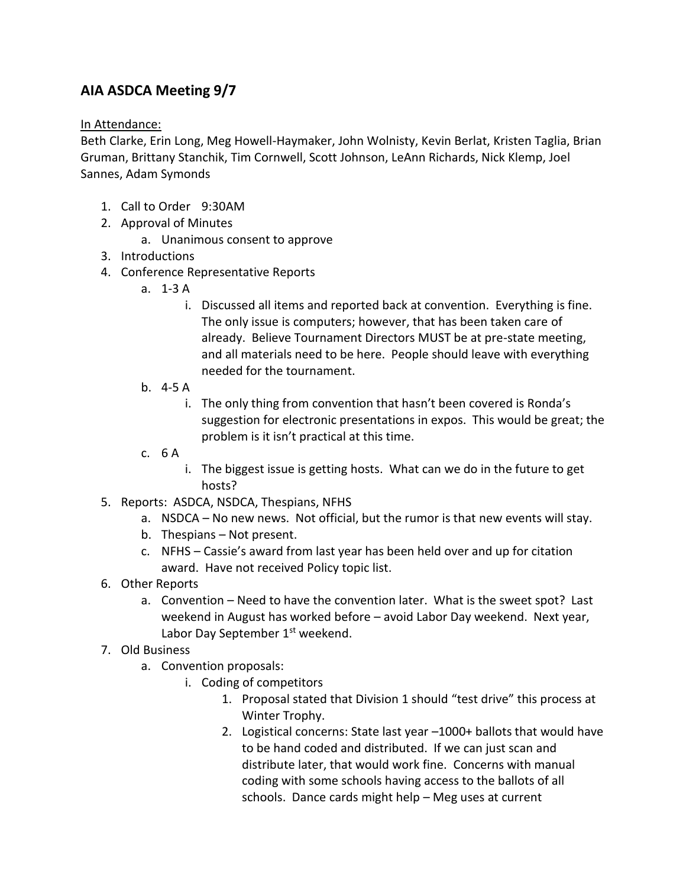## **AIA ASDCA Meeting 9/7**

In Attendance:

Beth Clarke, Erin Long, Meg Howell-Haymaker, John Wolnisty, Kevin Berlat, Kristen Taglia, Brian Gruman, Brittany Stanchik, Tim Cornwell, Scott Johnson, LeAnn Richards, Nick Klemp, Joel Sannes, Adam Symonds

- 1. Call to Order 9:30AM
- 2. Approval of Minutes
	- a. Unanimous consent to approve
- 3. Introductions
- 4. Conference Representative Reports
	- a. 1-3 A
		- i. Discussed all items and reported back at convention. Everything is fine. The only issue is computers; however, that has been taken care of already. Believe Tournament Directors MUST be at pre-state meeting, and all materials need to be here. People should leave with everything needed for the tournament.
	- b. 4-5 A
		- i. The only thing from convention that hasn't been covered is Ronda's suggestion for electronic presentations in expos. This would be great; the problem is it isn't practical at this time.
	- c. 6 A
		- i. The biggest issue is getting hosts. What can we do in the future to get hosts?
- 5. Reports: ASDCA, NSDCA, Thespians, NFHS
	- a. NSDCA No new news. Not official, but the rumor is that new events will stay.
	- b. Thespians Not present.
	- c. NFHS Cassie's award from last year has been held over and up for citation award. Have not received Policy topic list.
- 6. Other Reports
	- a. Convention Need to have the convention later. What is the sweet spot? Last weekend in August has worked before – avoid Labor Day weekend. Next year, Labor Day September 1<sup>st</sup> weekend.
- 7. Old Business
	- a. Convention proposals:
		- i. Coding of competitors
			- 1. Proposal stated that Division 1 should "test drive" this process at Winter Trophy.
			- 2. Logistical concerns: State last year –1000+ ballots that would have to be hand coded and distributed. If we can just scan and distribute later, that would work fine. Concerns with manual coding with some schools having access to the ballots of all schools. Dance cards might help – Meg uses at current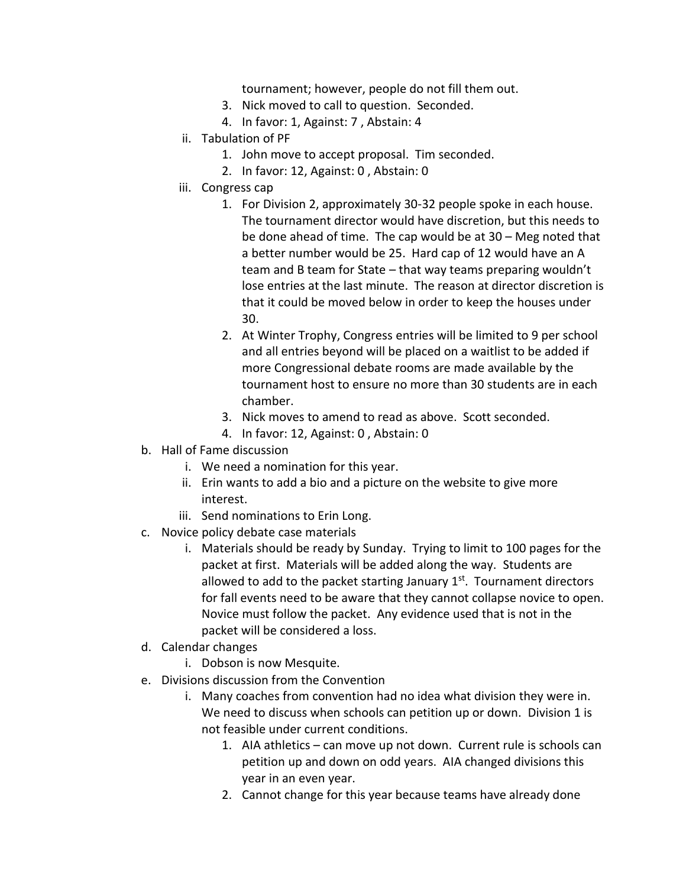tournament; however, people do not fill them out.

- 3. Nick moved to call to question. Seconded.
- 4. In favor: 1, Against: 7 , Abstain: 4
- ii. Tabulation of PF
	- 1. John move to accept proposal. Tim seconded.
	- 2. In favor: 12, Against: 0 , Abstain: 0
- iii. Congress cap
	- 1. For Division 2, approximately 30-32 people spoke in each house. The tournament director would have discretion, but this needs to be done ahead of time. The cap would be at 30 – Meg noted that a better number would be 25. Hard cap of 12 would have an A team and B team for State – that way teams preparing wouldn't lose entries at the last minute. The reason at director discretion is that it could be moved below in order to keep the houses under 30.
	- 2. At Winter Trophy, Congress entries will be limited to 9 per school and all entries beyond will be placed on a waitlist to be added if more Congressional debate rooms are made available by the tournament host to ensure no more than 30 students are in each chamber.
	- 3. Nick moves to amend to read as above. Scott seconded.
	- 4. In favor: 12, Against: 0 , Abstain: 0
- b. Hall of Fame discussion
	- i. We need a nomination for this year.
	- ii. Erin wants to add a bio and a picture on the website to give more interest.
	- iii. Send nominations to Erin Long.
- c. Novice policy debate case materials
	- i. Materials should be ready by Sunday. Trying to limit to 100 pages for the packet at first. Materials will be added along the way. Students are allowed to add to the packet starting January 1<sup>st</sup>. Tournament directors for fall events need to be aware that they cannot collapse novice to open. Novice must follow the packet. Any evidence used that is not in the packet will be considered a loss.
- d. Calendar changes
	- i. Dobson is now Mesquite.
- e. Divisions discussion from the Convention
	- i. Many coaches from convention had no idea what division they were in. We need to discuss when schools can petition up or down. Division 1 is not feasible under current conditions.
		- 1. AIA athletics can move up not down. Current rule is schools can petition up and down on odd years. AIA changed divisions this year in an even year.
		- 2. Cannot change for this year because teams have already done